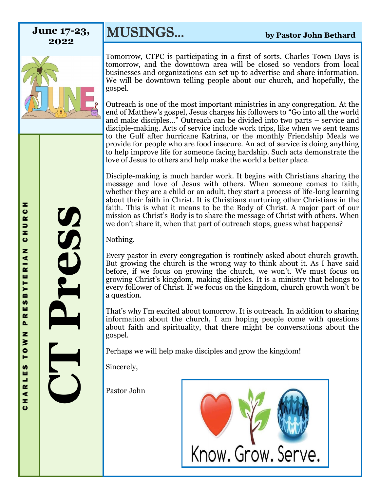**2022**



**MUSINGS...** by Pastor John Bethard

Tomorrow, CTPC is participating in a first of sorts. Charles Town Days is tomorrow, and the downtown area will be closed so vendors from local businesses and organizations can set up to advertise and share information. We will be downtown telling people about our church, and hopefully, the gospel.

Outreach is one of the most important ministries in any congregation. At the end of Matthew's gospel, Jesus charges his followers to "Go into all the world and make disciples…" Outreach can be divided into two parts – service and disciple-making. Acts of service include work trips, like when we sent teams to the Gulf after hurricane Katrina, or the monthly Friendship Meals we provide for people who are food insecure. An act of service is doing anything to help improve life for someone facing hardship. Such acts demonstrate the love of Jesus to others and help make the world a better place.

Disciple-making is much harder work. It begins with Christians sharing the message and love of Jesus with others. When someone comes to faith, whether they are a child or an adult, they start a process of life-long learning about their faith in Christ. It is Christians nurturing other Christians in the faith. This is what it means to be the Body of Christ. A major part of our mission as Christ's Body is to share the message of Christ with others. When we don't share it, when that part of outreach stops, guess what happens?

Nothing.

Every pastor in every congregation is routinely asked about church growth. But growing the church is the wrong way to think about it. As I have said before, if we focus on growing the church, we won't. We must focus on growing Christ's kingdom, making disciples. It is a ministry that belongs to every follower of Christ. If we focus on the kingdom, church growth won't be a question.

That's why I'm excited about tomorrow. It is outreach. In addition to sharing information about the church, I am hoping people come with questions about faith and spirituality, that there might be conversations about the gospel.

Perhaps we will help make disciples and grow the kingdom!

Sincerely,

Pastor John



**CT Press**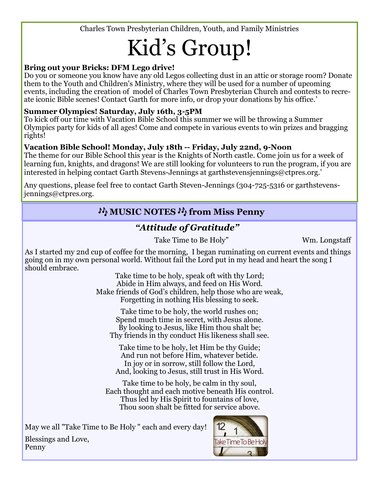Charles Town Presbyterian Children, Youth, and Family Ministries

# Kid's Group!

## **Bring out your Bricks: DFM Lego drive!**

Do you or someone you know have any old Legos collecting dust in an attic or storage room? Donate them to the Youth and Children's Ministry, where they will be used for a number of upcoming events, including the creation of model of Charles Town Presbyterian Church and contests to recreate iconic Bible scenes! Contact Garth for more info, or drop your donations by his office.'

#### **Summer Olympics! Saturday, July 16th, 3-5PM**

To kick off our time with Vacation Bible School this summer we will be throwing a Summer Olympics party for kids of all ages! Come and compete in various events to win prizes and bragging rights!

### **Vacation Bible School! Monday, July 18th -- Friday, July 22nd, 9-Noon**

The theme for our Bible School this year is the Knights of North castle. Come join us for a week of learning fun, knights, and dragons! We are still looking for volunteers to run the program, if you are interested in helping contact Garth Stevens-Jennings at garthstevensjennings@ctpres.org.'

Any questions, please feel free to contact Garth Steven-Jennings (304-725-5316 or garthstevensjennings@ctpres.org.

# **MUSIC NOTES M from Miss Penny**

# *"Attitude of Gratitude"*

Take Time to Be Holy" Wm. Longstaff

As I started my 2nd cup of coffee for the morning, I began ruminating on current events and things going on in my own personal world. Without fail the Lord put in my head and heart the song I should embrace.

Take time to be holy, speak oft with thy Lord; Abide in Him always, and feed on His Word. Make friends of God's children, help those who are weak, Forgetting in nothing His blessing to seek.

Take time to be holy, the world rushes on; Spend much time in secret, with Jesus alone. By looking to Jesus, like Him thou shalt be; Thy friends in thy conduct His likeness shall see.

Take time to be holy, let Him be thy Guide; And run not before Him, whatever betide. In joy or in sorrow, still follow the Lord, And, looking to Jesus, still trust in His Word.

Take time to be holy, be calm in thy soul, Each thought and each motive beneath His control. Thus led by His Spirit to fountains of love, Thou soon shalt be fitted for service above.

May we all "Take Time to Be Holy " each and every day!



Blessings and Love, Penny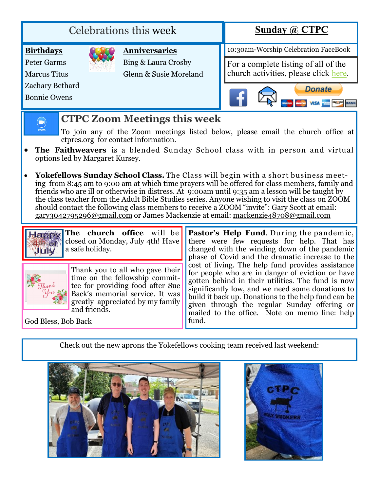| <b>Celebrations this week</b>       |  |                        | Sunday $\omega$ CTPC                                                          |
|-------------------------------------|--|------------------------|-------------------------------------------------------------------------------|
| <b>Birthdays</b>                    |  | <b>Anniversaries</b>   | 10:30am-Worship Celebration FaceBook                                          |
| <b>Peter Garms</b>                  |  | Bing & Laura Crosby    | For a complete listing of all of the<br>church activities, please click here. |
| <b>Marcus Titus</b>                 |  | Glenn & Susie Moreland |                                                                               |
| Zachary Bethard                     |  |                        | <b>Donate</b>                                                                 |
| <b>Bonnie Owens</b>                 |  |                        |                                                                               |
| <b>CTPC Zoom Meetings this week</b> |  |                        |                                                                               |

- To join any of the Zoom meetings listed below, please email the church office at ctpres.org for contact information.
- The Faithweavers is a blended Sunday School class with in person and virtual options led by Margaret Kursey.
- **Yokefellows Sunday School Class.** The Class w ill begin w ith a short business m eeting from 8:45 am to 9:00 am at which time prayers will be offered for class members, family and friends who are ill or otherwise in distress. At 9:00am until 9:35 am a lesson will be taught by the class teacher from the Adult Bible Studies series. Anyone wishing to visit the class on ZOOM should contact the following class members to receive a ZOOM "invite": Gary Scott at email: [gary3042795296@gmail.com](mailto:gary3042795296@gmail.com) or James Mackenzie at email: [mackenzie48708@gmail.com](mailto:mackenzie48708@gmail.com)



**The church office** will be closed on Monday, July 4th! Have a safe holiday.



Thank you to all who gave their time on the fellowship committee for providing food after Sue Back's memorial service. It was greatly appreciated by my family and friends.

**Pastor's Help Fund**. During the pandem ic, there were few requests for help. That has changed with the winding down of the pandemic phase of Covid and the dramatic increase to the cost of living. The help fund provides assistance for people who are in danger of eviction or have gotten behind in their utilities. The fund is now significantly low, and we need some donations to build it back up. Donations to the help fund can be given through the regular Sunday offering or mailed to the office. Note on memo line: help fund.

God Bless, Bob Back

Check out the new aprons the Yokefellows cooking team received last weekend:



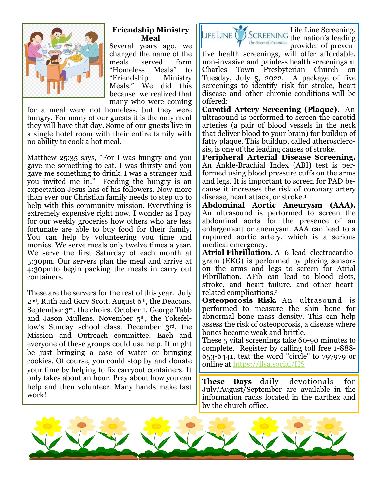

#### **Friendship Ministry Meal**

Several years ago, we changed the name of the meals served form "Homeless Meals" to "Friendship Ministry Meals." We did this because we realized that many who were coming

for a meal were not homeless, but they were hungry. For many of our guests it is the only meal they will have that day. Some of our guests live in a single hotel room with their entire family with no ability to cook a hot meal.

Matthew 25:35 says, "For I was hungry and you gave me something to eat. I was thirsty and you gave me something to drink. I was a stranger and you invited me in." Feeding the hungry is an expectation Jesus has of his followers. Now more than ever our Christian family needs to step up to help with this community mission. Everything is extremely expensive right now. I wonder as I pay for our weekly groceries how others who are less fortunate are able to buy food for their family. You can help by volunteering you time and monies. We serve meals only twelve times a year. We serve the first Saturday of each month at 5:30pm. Our servers plan the meal and arrive at 4:30pmto begin packing the meals in carry out containers.

These are the servers for the rest of this year. July 2nd, Ruth and Gary Scott. August 6th, the Deacons. September 3rd, the choirs. October 1, George Tabb and Jason Mullens. November 5th, the Yokefellow's Sunday school class. December 3rd, the Mission and Outreach committee. Each and everyone of these groups could use help. It might be just bringing a case of water or bringing cookies. Of course, you could stop by and donate your time by helping to fix carryout containers. It only takes about an hour. Pray about how you can help and then volunteer. Many hands make fast work!



Life Line Screening, provider of preven-

tive health screenings, will offer affordable, non-invasive and painless health screenings at Charles Town Presbyterian Church on Tuesday, July 5, 2022. A package of five screenings to identify risk for stroke, heart disease and other chronic conditions will be offered:

**Carotid Artery Screening (Plaque)**. An ultrasound is performed to screen the carotid arteries (a pair of blood vessels in the neck that deliver blood to your brain) for buildup of fatty plaque. This buildup, called atherosclerosis, is one of the leading causes of stroke.

**Peripheral Arterial Disease Screening.**  An Ankle-Brachial Index (ABI) test is performed using blood pressure cuffs on the arms and legs. It is important to screen for PAD because it increases the risk of coronary artery disease, heart attack, or stroke.<sup>1</sup>

**Abdominal Aortic Aneurysm (AAA).**  An ultrasound is performed to screen the abdominal aorta for the presence of an enlargement or aneurysm. AAA can lead to a ruptured aortic artery, which is a serious medical emergency.

**Atrial Fibrillation.** A 6-lead electrocardiogram (EKG) is performed by placing sensors on the arms and legs to screen for Atrial Fibrillation. AFib can lead to blood clots, stroke, and heart failure, and other heartrelated complications.<sup>2</sup>

**Osteoporosis Risk.** An ultrasound is performed to measure the shin bone for abnormal bone mass density. This can help assess the risk of osteoporosis, a disease where bones become weak and brittle.

These 5 vital screenings take 60-90 minutes to complete. Register by calling toll free 1-888- 653-6441, text the word "circle" to 797979 or online at [https://llsa.social/HS](https://llsa.social/HSC)

**These Days** daily devotionals for July/August/September are available in the information racks located in the narthex and by the church office.